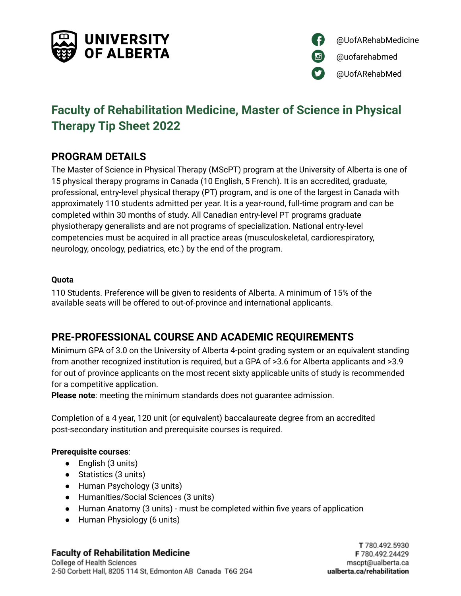



# **Faculty of Rehabilitation Medicine, Master of Science in Physical Therapy Tip Sheet 2022**

# **PROGRAM DETAILS**

The Master of Science in Physical Therapy (MScPT) program at the University of Alberta is one of 15 physical therapy programs in Canada (10 English, 5 French). It is an accredited, graduate, professional, entry-level physical therapy (PT) program, and is one of the largest in Canada with approximately 110 students admitted per year. It is a year-round, full-time program and can be completed within 30 months of study. All Canadian entry-level PT programs graduate physiotherapy generalists and are not programs of specialization. National entry-level competencies must be acquired in all practice areas (musculoskeletal, cardiorespiratory, neurology, oncology, pediatrics, etc.) by the end of the program.

#### **Quota**

110 Students. Preference will be given to residents of Alberta. A minimum of 15% of the available seats will be offered to out-of-province and international applicants.

# **PRE-PROFESSIONAL COURSE AND ACADEMIC REQUIREMENTS**

Minimum GPA of 3.0 on the University of Alberta 4-point grading system or an equivalent standing from another recognized institution is required, but a GPA of >3.6 for Alberta applicants and >3.9 for out of province applicants on the most recent sixty applicable units of study is recommended for a competitive application.

**Please note**: meeting the minimum standards does not guarantee admission.

Completion of a 4 year, 120 unit (or equivalent) baccalaureate degree from an accredited post-secondary institution and prerequisite courses is required.

#### **Prerequisite courses**:

- English (3 units)
- Statistics (3 units)
- Human Psychology (3 units)
- Humanities/Social Sciences (3 units)
- Human Anatomy (3 units) must be completed within five years of application
- Human Physiology (6 units)

#### **Faculty of Rehabilitation Medicine**

College of Health Sciences 2-50 Corbett Hall, 8205 114 St, Edmonton AB Canada T6G 2G4